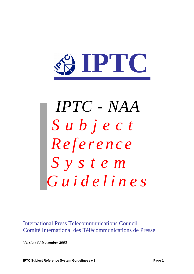

# *IPTC - NAA Subject Reference S y s t e m Guidelines*

International Press Telecommunications Council Comité International des Télécommunications de Presse

*Version 3 / November 2003*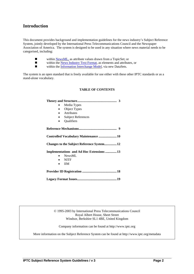# **Introduction**

This document provides background and implementation guidelines for the news industry's Subject Reference System, jointly developed by the International Press Telecommunications Council and the Newspaper Association of America. The system is designed to be used in any situation where news material needs to be categorised, including:

- within <u>NewsML</u>, as attribute values drawn from a TopicSet; or<br>■ within the News Industry Text Format, as elements and attribut
	- within the News Industry Text Format, as elements and attributes, or
- within the Information Interchange Model, via new DataSets.

**Theory and Structure................................................ 3** 

The system is an open standard that is freely available for use either with these other IPTC standards or as a stand-alone vocabulary.

## **TABLE OF CONTENTS**

| Media Types                               |  |  |  |  |
|-------------------------------------------|--|--|--|--|
| Object Types                              |  |  |  |  |
| <b>Attributes</b>                         |  |  |  |  |
| <b>Subject References</b><br>$\bullet$    |  |  |  |  |
| Qualifiers                                |  |  |  |  |
|                                           |  |  |  |  |
|                                           |  |  |  |  |
|                                           |  |  |  |  |
| Changes to the Subject Reference System12 |  |  |  |  |
| Implementations and Ad Hoc Extensions 13  |  |  |  |  |
| <b>NewsML</b>                             |  |  |  |  |
| <b>NITF</b>                               |  |  |  |  |
| <b>IIM</b>                                |  |  |  |  |
|                                           |  |  |  |  |

© 1995-2003 by International Press Telecommunications Council Royal Albert House, Sheet Street Windsor, Berkshire SL1 4BE, United Kingdom

Company information can be found at http://www.iptc.org

More information on the Subject Reference System can be found at http://www.iptc.org/metadata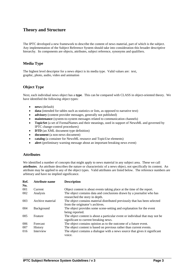## **Theory and Structure**

The IPTC developed a new framework to describe the content of news material, part of which is the subject. Any implementation of the Subject Reference System should take into consideration this broader descriptive hierarchy. Its components are objects, attributes, subject reference, synonyms and qualifiers.

## **Media Type**

The highest level descriptor for a news object is its media type. Valid values are: text, graphic, photo, audio, video and animation

## **Object Type**

Next, each individual news object has a **type**. This can be compared with CLASS in object-oriented theory. We have identified the following object types:

- **news** (default)
- data (intended for tables such as statistics or lists, as opposed to narrative text)
- **advisory** (content provider messages, generally not published)
- **maintenance** (system-to-system messages related to communication channels)
- **TopicSet** (a set of FormalNames and their meanings, used in support of NewsML and governed by IPTC change-control procedures)
- **DTD** (an XML document type definition)
- **document** (a non-news document)
- **catalog** (a container for NewsML resource and TopicUse elements)
- **alert** (preliminary warning message about an important breaking news event)

## **Attributes**

We identified a number of concepts that might apply to news material in any subject area. These we call **attributes**. An attribute describes the nature or characteristic of a news object, not specifically its content. An attribute may be applied to any of the object types. Valid attributes are listed below. The reference numbers are arbitrary and have no implied significance.

| Ref.<br>No. | <b>Attribute name</b> | <b>Description</b>                                                                                                    |
|-------------|-----------------------|-----------------------------------------------------------------------------------------------------------------------|
| 001         | Current               | Object content is about events taking place at the time of the report.                                                |
| 002         | Analysis              | The object contains data and conclusions drawn by a journalist who has<br>researched the story in depth.              |
| 003         | Archive material      | The object contains material distributed previously that has been selected<br>from the originator's archives.         |
| 004         | Background            | The object provides some scene-setting and explanation for the event<br>being reported.                               |
| 005         | Feature               | The object content is about a particular event or individual that may not be<br>significant to current breaking news. |
| 006         | Forecast              | The object contains opinion as to the outcome of a future event.                                                      |
| 007         | <b>History</b>        | The object content is based on previous rather than current events.                                                   |
| 016         | Interview             | The object contains a dialogue with a news source that gives it significant<br>voice.                                 |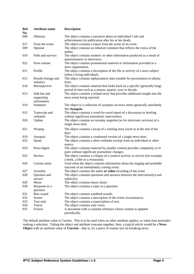| Ref.<br>No. | <b>Attribute name</b>                     | <b>Description</b>                                                                                                                       |
|-------------|-------------------------------------------|------------------------------------------------------------------------------------------------------------------------------------------|
| 008         | Obituary                                  | The object contains a narrative about an individual's life and<br>achievements for publication after his or her death.                   |
| 017         | From the scene                            | The object contains a report from the scene of an event.                                                                                 |
| 009         | Opinion                                   | The object contains an editorial comment that reflects the views of the<br>author.                                                       |
| 010         | Polls and surveys                         | The object contains numeric or other information produced as a result of<br>questionnaires or interviews.                                |
| 022         | Press release                             | The object contains promotional material or information provided to a<br>news organisation.                                              |
| 011         | Profile                                   | The object contains a description of the life or activity of a news subject<br>(often a living individual).                              |
| 012         | Results listings and<br>statistics        | The object contains alphanumeric data suitable for presentation in tabular<br>form.                                                      |
| 018         | Retrospective                             | The object contains material that looks back on a specific (generally long)<br>period of time such as a season, quarter, year or decade. |
| 013         | Side bar and<br>supporting<br>information | The object contains a related story that provides additional insight into the<br>news event being reported.                              |
| 014         | Summary                                   | The object is a collection of synopses on news items (generally unrelated).<br>See Synopsis.                                             |
| 015         | Transcript and<br>verbatim                | The object contains a word-for-word report of a discussion or briefing<br>without significant journalistic intervention.                 |
| 020         | Update                                    | The object contains an intraday snapshot (as for electronic services) of a<br>single news item.                                          |
| 021         | Wrapup                                    | The object contains a recap of a running story (such as at the end of the<br>day).                                                       |
| 019         | Synopsis                                  | The object contains a condensed version of a single news item.                                                                           |
| 023         | Quote                                     | The object contains a short verbatim excerpt from an individual or other<br>source.                                                      |
| 024         | Press-digest                              | The object contains material by another content provider completely or in<br>parts without significant journalistic changes.             |
| 025         | Review                                    | The object contains a critique of a creative activity or service (for example<br>a book, a film or a restaurant).                        |
| 026         | Curtain raiser                            | Used when the object contains information about the staging and probable<br>outcome of an immediately coming event.                      |
| 027         | Actuality                                 | The object contains the audio or video recording of the event                                                                            |
| 028         | Question and<br>answer                    | The object contains questions and answers between the interviewer(s) and<br>$subject(s)$ .                                               |
| 029         | Music                                     | The object contains music alone.                                                                                                         |
| 030         | Response to a<br>question                 | The object contains a reply to a question.                                                                                               |
| 031         | Raw sound                                 | The object contains unedited sounds.                                                                                                     |
| 032         | Scener                                    | The object contains a description of the event circumstances.                                                                            |
| 033         | Text only                                 | The object contains a transcription of text.                                                                                             |
| 034         | Voicer                                    | The object contains only voice.                                                                                                          |
| 035         | Fixture                                   | A document with a constant reference whose content is updated<br>periodically.                                                           |

The default attribute value is Current. This is to be used when no other attribute applies, or when time precludes making a selection. Taking the object and attribute concepts together, then, a typical article would be a **News Object** with an attribute value of **Current** – that is, it's a piece of routine text on breaking news.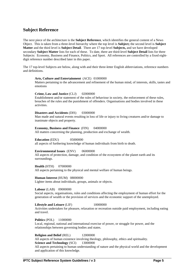## **Subject Reference**

The next piece of the architecture is the **Subject Reference**, which identifies the general content of a News Object. This is taken from a three-level hierarchy where the top level is **Subject;** the second level is **Subject Matter** and the third level is **Subject Detail**. There are 17 top-level **Subjects,** and we have developed secondary **Subject Matter** lists for each of these. To date, there are third-level **Subject Detail** lists for three Subjects: Economy, Business and Finance, Politics, and Sport. All references are controlled by a fixed eightdigit reference number described later in this paper.

The 17 top-level Subjects are below, along with and their three-letter English abbreviations, reference numbers and definitions.

#### **Arts, Culture and Entertainment** (ACE) 01000000

Matters pertaining to the advancement and refinement of the human mind, of interests, skills, tastes and emotions

#### **Crime, Law and Justice** (CLJ) 02000000

Establishment and/or statement of the rules of behaviour in society, the enforcement of these rules, breaches of the rules and the punishment of offenders. Organisations and bodies involved in these activities.

#### **Disasters and Accidents** (DIS) 03000000

Man made and natural events resulting in loss of life or injury to living creatures and/or damage to inanimate objects and property.

#### **Economy, Business and Finance** (FIN) 04000000

All matters concerning the planning, production and exchange of wealth.

**Education** (EDU) 05000000 all aspects of furthering knowledge of human individuals from birth to death.

#### **Environmental Issues** (ENV) 06000000

All aspects of protection, damage, and condition of the ecosystem of the planet earth and its surroundings.

**Health** (HTH) 07000000 All aspects pertaining to the physical and mental welfare of human beings.

**Human Interest** (HUM) 08000000

Lighter items about individuals, groups, animals or objects.

#### **Labour** (LAB) 09000000

Social aspects, organisations, rules and conditions affecting the employment of human effort for the generation of wealth or the provision of services and the economic support of the unemployed.

**Lifestyle and Leisure** (LIF) 10000000 Activities undertaken for pleasure, relaxation or recreation outside paid employment, including eating and travel.

**Politics** (POL) 11000000 Local, regional, national and international exercise of power, or struggle for power, and the relationships between governing bodies and states.

#### **Religion and Belief** (REL) 12000000

All aspects of human existence involving theology, philosophy, ethics and spirituality. **Science and Technology** (SCI) 13000000

All aspects pertaining to human understanding of nature and the physical world and the development and application of this knowledge.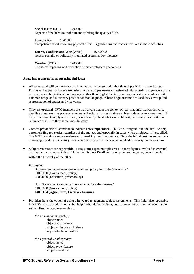**Social Issues** (SOI) 14000000 Aspects of the behaviour of humans affecting the quality of life.

**Sport** (SPO) 15000000 Competitive effort involving physical effort. Organisations and bodies involved in these activities.

**Unrest, Conflicts and War** (WAR) 16000000 Acts of socially or politically motivated protest and/or violence.

**Weather** (WEA) 17000000 The study, reporting and prediction of meteorological phenomena.

## **A few important notes about using Subjects:**

- All terms used will be those that are internationally recognised rather than of particular national usage. Entries will appear in lower case unless they are proper names or registered with a leading upper case or are acronyms or abbreviations. For languages other than English the terms are capitalised in accordance with common usage and dictionary practice for that language. Where singular terms are used they cover plural representation of entries and vice versa.
- They are **optional.** IPTC members are well aware that in the context of real-time information delivery, deadline pressures may prevent reporters and editors from assigning a subject reference to a news item. If there is no time to apply a reference, or uncertainty about what would fit best, items may move with no reference at all – as they sometimes do today.
- Content providers will continue to indicate **news importance** "bulletin," "urgent" and the like to help customers find top stories regardless of the subject, and especially in cases where a subject isn't specified. The NITF contains a separate element for marking news importance. Once the initial dust has settled on a non-categorised breaking story, subject references can be chosen and applied to subsequent news items.
- Subject references are **repeatable.** Many stories span multiple areas sports figures involved in criminal activity, as an example. Subject Matter and Subject Detail entries may be used together, even if one is within the hierarchy of the other.

## *Examples:*

"Government announces new educational policy for under 5 year olds" 11006000 (Government, policy) 05004000 (Education, preschooling)

"UK Government announces new scheme for dairy farmers" 11006000 (Government, policy) **04001004 (Agriculture, Livestock Farming** 

• Providers have the option of using a **keyword** to augment subject assignments. This field (also repeatable in NITF) may be used for terms that help further define an item, but that may not warrant inclusion in the subject lists. A couple examples…

*for a chess championship:*  object=news object type=current subject=lifestyle and leisure keyword=chess masters

*for a general weather story:*  object=news object type=feature subject=weather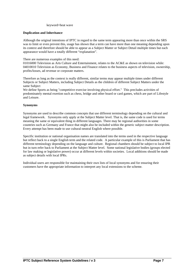keyword=heat wave

## **Duplication and Inheritance**

Although the original intentions of IPTC in regard to the same term appearing more than once within the SRS was to limit or even prevent this, usage has shown that a term can have more than one meaning depending upon its context and therefore should be able to appear as a Subject Matter or Subject Detail multiple times but each appearance would have a totally different "explanation".

There are numerous examples of this need:

01016000 Television as Arts Culture and Entertainment, relates to the AC&E as shown on television while: 04010010 Television as Economy, Business and Finance relates to the business aspects of television, ownership, profits/losses, ad revenue or corporate matters.

Therefore as long as the context is really different, similar terms may appear multiple times under different Subjects or Subject Matters, including Subject Details as the children of different Subject Matters under the same Subject

We define Sports as being "competitive exercise involving physical effort." This precludes activities of predominately mental exertion such as chess, bridge and other board or card games, which are part of Lifestyle and Leisure.

## **Synonyms**

Synonyms are used to describe common concepts that use different terminology depending on the cultural and legal framework. Synonyms only apply at the Subject Matter level. That is, the same code is used for terms meaning the same or equivalent thing in different languages. There may be regional authorities in some countries such as Germany and France that might also be included within the generic subject matter description. Every attempt has been made to use cultural-neutral English where possible.

Specific institution or national organisation names are translated into the terms used in the respective language but reflect back to a single English term and the related code. A particular example of this is Parliament that has different terminology depending on the language and culture. Regional chambers should be subject to local IPR but in turn refer back to Parliament at the Subject Matter level. Some national legislative bodies (groups elected for law making or legislative power) occur at different levels within societies. Local additions should be made as subject details with local IPRs.

Individual users are responsible for maintaining their own lists of local synonyms and for ensuring their customers have the appropriate information to interpret any local extensions to the scheme.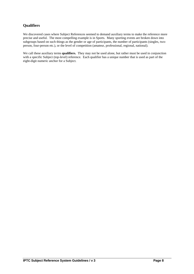## **Qualifiers**

We discovered cases where Subject References seemed to demand auxiliary terms to make the reference more precise and useful. The most compelling example is in Sports. Many sporting events are broken down into subgroups based on such things as the gender or age of participants, the number of participants (singles, twoperson, four-person etc.), or the level of competition (amateur, professional, regional, national).

We call these auxiliary terms **qualifiers.** They may not be used alone, but rather must be used in conjunction with a specific Subject (top-level) reference. Each qualifier has a unique number that is used as part of the eight-digit numeric anchor for a Subject.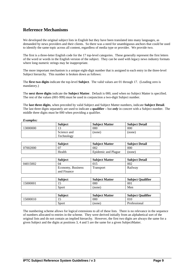# **Reference Mechanisms**

We developed the original subject lists in English but they have been translated into many languages, as demanded by news providers and their clients. So there was a need for unambiguous anchors that could be used to identify the same topic across all content, regardless of media type or provider. We provide two.

The first is a three-letter English code for the 17 top-level categories. These generally represent the first letters of the word or words in the English version of the subject. They can be used with legacy news industry formats where long numeric strings may be inappropriate.

The more important mechanism is a unique eight-digit number that is assigned to each entry in the three-level Subject hierarchy. This number is broken down as follows:

The **first two digits** indicate the top-level **Subject**. The valid values are 01 through 17. (Leading zero is mandatory.)

The **next three digits** indicate the **Subject Matter**. Default is 000, used when no Subject Matter is specified. The rest of the values (001-999) must be used in conjunction a two-digit Subject number.

The **last three digits**, when preceded by valid Subject and Subject Matter numbers, indicate **Subject Detail**. The last three digits separately are used to indicate a **qualifier –** but *only* in concert with a Subject number. The middle three digits must be 000 when providing a qualifier.

#### *Examples:*

|          | <b>Subject</b> | <b>Subject Matter</b> | <b>Subject Detail</b> |
|----------|----------------|-----------------------|-----------------------|
| 13000000 | 13             | 000                   | 000                   |
|          | Science and    | (none)                | (none)                |
|          | Technology     |                       |                       |

|                | <b>Subject</b> | <b>Subject Matter</b> | <b>Subject Detail</b> |  |
|----------------|----------------|-----------------------|-----------------------|--|
| 07<br>07002000 |                | 002                   | 000                   |  |
| Health         |                | Epidemic and Plague   | none                  |  |

|          | <b>Subject</b>    | <b>Subject Matter</b> | <b>Subject Detail</b> |
|----------|-------------------|-----------------------|-----------------------|
| 04015002 | 04                |                       | 002                   |
|          | Economy, Business | <b>Transport</b>      | Railway               |
|          | and Finance       |                       |                       |

|          | <b>Subject</b> | <b>Subject Matter</b> | <b>Subiect Oualifier</b> |
|----------|----------------|-----------------------|--------------------------|
| 15000001 | 1 J            | 000                   | 001                      |
|          | Sport          | (none                 | Men                      |

| <b>Subject</b>  |  | <b>Subject Matter</b> | <b>Subject Qualifier</b> |  |  |
|-----------------|--|-----------------------|--------------------------|--|--|
| 15000010<br>1 J |  | 000                   | 010                      |  |  |
| Sport           |  | none)                 | Professional             |  |  |

The numbering scheme allows for logical extensions to all of these lists. There is no relevance in the sequence of numbers allocated to entries in the scheme. They were derived initially from an alphabetical sort of the original lists and do not contain an implied hierarchy. However, the first two digits are always the same for a given Subject and the digits at positions 3, 4 and 5 are the same for a given SubjectMatter.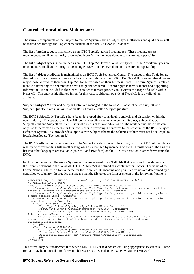# **Controlled Vocabulary Maintenance**

The various components of the Subject Reference System – such as object types, attributes and qualifiers – will be maintained through the TopicSet mechanism of the IPTC's NewsML standard.

The list of **media types** is maintained as an IPTC TopicSet termed mediatypes. These mediatypes are recommended to all content originators using NewsML in the news domain to ensure interoperability.

The list of **object types** is maintained as an IPTC TopicSet termed NewsItemTypes. These NewsItemTypes are recommended to all content originators using NewsML in the news domain to ensure interoperability.

The list of **object attributes** is maintained as an IPTC TopicSet termed Genre. The values in this TopicSet are derived from the experience of news gathering organisations within IPTC. But NewsML users in other domains may choose to produce their own TopicSet for genre based on their business needs. The term "genre" is related more to a news object's content than how it might be rendered. Accordingly the term "Sidebar and Supporting Information" is not included in the Genre TopicSet as it more properly falls within the scope of a Role within NewsML. The entry is highlighted in red for this reason, although outside of NewsML it is a valid object attribute.

**Subject, Subject Matter** and **Subject Detail** are managed in the NewsML TopicSet called SubjectCode. **Subject Qualifiers** are maintained as an IPTC TopicSet called SubjectQualifier**.** 

The IPTC SubjectCode TopicSets have been developed after considerable analysis and discussion within the news industry. The structure of NewsML contains explicit elements to contain Subject, SubjectMatter, SubjectDetail and SubjectQualifier. Users who elect not to take advantage of the work behind these data can only use these named elements for their own scheme providing it conforms to the structure of the IPTC Subject Reference System. If a provider develops his own Subject scheme the Scheme attribute must not be set equal to IptcSubjectCodes. (See section 5.)

The IPTC's official published versions of the Subject vocabularies will be in English. The IPTC will maintain a registry of corresponding lists in other languages as submitted by members or users. Translations of the English list into other languages are available (as XML and PDF files) on the IPTC Web site, or in other forms from the IPTC.

Each list in the Subject Reference System will be maintained in an XML file that conforms to the definition of the TopicSet element in the NewsML DTD. A TopicSet is defined as a container for Topics. The value of the FormalName attribute is a formal name for the TopicSet. Its meaning and permitted values are determined by a controlled vocabulary. In practice this means that the file takes the form as shown in the following fragment:

```
<!DOCTYPE TopicSet PUBLIC " urn:newsml:iptc.org:20001006:NewsMLv1.0.dtd:1" 
 "../DTD/NewsMLv1.0.dtd"> 
<TopicSet Duid="IptcSubjectCodes.subject" FormalName="SubjectCode"> 
     <Comment xml:lang="en">Topics whose TopicType is Subject provide a description of the 
editorial content of a NewsComponent at a high level.</Comment>
    <Comment xml:lang="en">Topics whose TopicType is SubjectMatter provide a description at 
a more precise level.</Comment> 
    <Comment xml:lang="en">Topics whose TopicType is SubjectDetail provide a description at 
a specific level.</Comment> 
    <Topic Duid="sr01000000"> 
        <TopicType Scheme="IptcTopicType" FormalName="Subject"/> 
       <FormalName Scheme="IptcSubjectCodes">01000000</FormalName> 
        <Description xml:lang="en" Variant="Name">Arts, Culture &amp; 
Entertainment</Description> 
 <Description xml:lang="en" Variant="Explanation">Matters pertaining to the 
advancement and refinement of the human mind, of interests, skills, tastes and 
emotions</Description> 
    </Topic> 
    <Topic Duid="sr01001000"> 
 <TopicType Scheme="IptcTopicType" FormalName="SubjectMatter"/> 
 <FormalName Scheme="IptcSubjectCodes">01001000</FormalName> 
       <Description xml:lang="en" Variant="Name">Archaeology</Description> 
    </Topic> 
</TopicSet >
```
This format may be transformed into other XML, HTML or text constructs using appropriate stylesheets. These formats may be imported into (for example) MS Excel. (See also item 8 below, Subject Viewer.)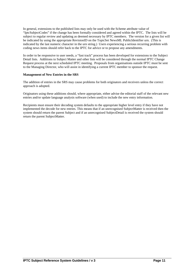In general, extensions to the published lists may only be used with the Scheme attribute value of "IptcSubjectCodes" if the change has been formally considered and agreed within the IPTC. The lists will be subject to regular review and updating as deemed necessary by IPTC members. The version for a given list will be indicated by using the appropriate RevisionID on the TopicSet NewsML PublicIdentifier urn. (This is indicated by the last numeric character in the urn string.) Users experiencing a serious recurring problem with coding news items should refer back to the IPTC for advice or to propose any amendments.

In order to be responsive to user needs, a "fast track" process has been developed for extensions to the Subject Detail lists. Additions to Subject Matter and other lists will be considered through the normal IPTC Change Request process at the next scheduled IPTC meeting. Proposals from organisations outside IPTC must be sent to the Managing Director, who will assist in identifying a current IPTC member to sponsor the request.

## **Management of New Entries in the SRS**

The addition of entries in the SRS may cause problems for both originators and receivers unless the correct approach is adopted.

Originators using these additions should, where appropriate, either advise the editorial staff of the relevant new entries and/or update language analysis software (when used) to include the new entry information.

Recipients must ensure their decoding system defaults to the appropriate higher level entry if they have not implemented the decode for new entries. This means that if an unrecognised SubjectMatter is received then the system should return the parent Subject and if an unrecognised SubjectDetail is received the system should return the parent SubjectMatter.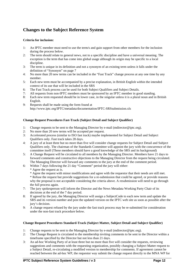# **Changes to the Subject Reference System**

## **Criteria for inclusion:**

- 1: An IPTC member must need to use the term/s and gain support from other members for the inclusion during the process below.
- 2: The term should relate to general news, not to a specific discipline and have a universal meaning. The exception is the term that has come into global usage although its origin may be specific to a local discipline.
- 3: The term is unique in its definition and not a synonym of an existing term unless it falls under the definition of "Synonym" on page 7
- 4: No more than 20 new terms can be included in the "Fast Track" change process at any one time by any member.
- 5: Each new term must be accompanied by a precise explanation, in British English within the intended context of its use that will be included in the SRS
- 6: The Fast Track process can be used for both Subject Qualifiers and Subject Details.
- 7: All requests from non-IPTC members must be sponsored by an IPTC member in good standing.
- 8: Each new term requested should be in lower case, in the singular unless it is a plural noun and in British English.
- 9: Requests shall be made using the form found at http://www.iptc.org/IPTC/metadata/documentation/IPTC-SRSsubmission.xls

## **Change Request Procedures Fast-Track (Subject Detail and Subject Qualifier)**

- 1: Change requests to be sent to the Managing Director by e-mail (mdirector@iptc.org).
- 2: No more than 20 new terms will be accepted per request.
- 3: Accelerated process (similar to ISO fast track) maybe implemented for Subject Detail and Subject Qualifiers only. Fast track takes 28 days.
- 4: A jury of at least three but no more than five will consider change requests for Subject Detail and Subject Qualifiers only. The chairman of the Standards Committee will appoint the jury with the concurrence of the committee itself (These members should have a good knowledge of the SRS and its background)
- 5: A Change Request will be circulated to all members by the Managing Director. Members have 21 days to forward comments and constructive objections to the Managing Director from the request being circulated. The Managing Director will forward any comments to the jury at the end of the comment period.
- 6: Within 7 days following the 21 day "Comment" period the jury will either:
	- \* Agree the request as is.

\* Agree the request with minor modifications and agree with the requestor that their needs are still met. \* Refuse the request but provide suggestions for a re-submission that could be agreed, or provide reasons why the proposal is not acceptable considering the criteria above. A resubmission will need to go through the full process again.

- 7: The jury spokesperson will inform the Director and the News Metadata Working Party Chair of its decisions at the end of the 7 day period.
- 8: If agreed by the jury, the Managing Director will assign a SubjectCode to each new term and update the SRS and its version number and post the updated version on the IPTC web site as soon as possible after the jury's decision.
- 9: A change request refused by the jury under the fast track process may be re-submitted for consideration under the non-fast track procedure below.

## **Change Request Procedures Standard-Track (Subject Matter, Subject Detail and Subject Qualifier)**

- 1: Change requests to be sent to the Managing Director by e-mail (mdirector@iptc.org).
- 2: The Change Request is circulated to the membership inviting comments to be sent to the Director within a timeframe specified by the Director but not less than 21 days.
- 3: An ad-hoc Working Party of at least three but no more than five will consider the requests, reviewing suggestions and comments with the requesting organization, possibly changing a Subject Matter request to a Subject Detail, re-circulating a modified version to membership for comments. If agreement cannot be reached between the ad-hoc WP, the requestor way submit the change request directly to the MNA WP for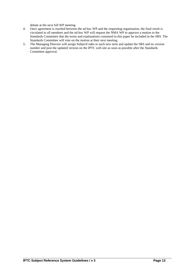debate at the next full WP meeting

- 4: Once agreement is reached between the ad-hoc WP and the requesting organisation, the final result is circulated to all members and the ad-hoc WP will request the NMA WP to approve a motion to the Standards Committee that the terms and explanations contained in this paper be included in the SRS. The Standards Committee will vote on the motion at their next meeting.
- 5: The Managing Director will assign SubjectCodes to each new term and update the SRS and its version number and post the updated version on the IPTC web site as soon as possible after the Standards Committee approval.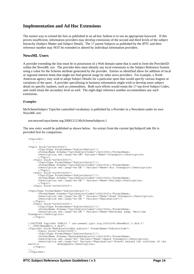## **Implementation and Ad Hoc Extensions**

The easiest way to extend the lists as published in an ad-hoc fashion is to use an appropriate keyword. If this proves insufficient, information providers may develop extensions of the second and third levels of the subject hierarchy (Subject Matter and Subject Detail). The 17 parent Subjects as published by the IPTC and their reference number may NOT be extended or altered by individual information providers.

## **NewsML Users**

A provider extending the lists must be in possession of a Web domain name that is used to form the ProviderID within the NewsML urn. The provider then must identify any local extensions to the Subject Reference System using a value for the Scheme attribute generated by the provider. Entries so identified allow for addition of local or regional interest items that might not find general usage by other news providers. For example, a North American agency may wish to adopt Subject Details for a particular sport that would specify various leagues or variations of the sport. A provider specialising in business information might wish to develop more subject detail on specific markets, such as commodities. Both such efforts would retain the 17 top-level Subject Codes, and could retain the secondary level as well. The eight-digit reference number accommodates any such extensions.

#### *Examples*

MySchemeSubject TopicSet controlled vocabulary is published by a Provider in a NewsItem under its own NewsML urn:

```
 urn:newsml:myscheme.org:20001212:MySchemeSubjects:1
```
The new entry would be published as shown below. An extract from the current IptcSubjectCode file is provided first for comparison.

```
<TopicSet> 
    . . . 
<Topic Duid="sr04015000"> 
 <TopicType FormalName="SubjectMatter"/> 
 <FormalName Scheme="IptcSubjectCodes">04015000</FormalName> 
        <Description xml:lang="en-GB" Variant="Name">Transport</Description> 
         </Topic> 
     <Topic Duid="sr04015001"> 
         <TopicType FormalName="SubjectDetail"/> 
 <FormalName Scheme="IptcSubjectCodes">04015001</FormalName> 
 <Description xml:lang="en-GB " Variant="Name">Air Transport</Description> 
         </Topic> 
     <Topic Duid="sr04015002"> 
        <TopicType FormalName="SubjectDetail"/> 
 <FormalName Scheme="IptcSubjectCodes">04015002</FormalName> 
 <Description xml:lang="en-GB " Variant="Name">Railway</Description> 
         </Topic> 
     <Topic Duid="sr04015003"> 
<TopicType FormalName="SubjectDetail"/> 
        <FormalName Scheme="IptcSubjectCodes">04015003</FormalName> 
 <Description xml:lang="en-GB " Variant="Name">Road Transport</Description> 
 <Description xml:lang="en-GB " Variant="Explanation"/> 
     </Topic> 
     <Topic Duid="sr04015004"> 
        <TopicType FormalName="SubjectDetail"/> 
        <FormalName Scheme="IptcSubjectCodes">04015004</FormalName> 
       <Description xml:lang="en-GB " Variant="Name">Waterway & amp; Maritime
Transport</Description> 
     </Topic> 
<!DOCTYPE TopicSet PUBLIC " urn:newsml:iptc.org:20001006:NewsMLv1.0.dtd:1" 
"../DTD/NewsMLv1.0.dtd"> 
<TopicSet Duid="MySubjectCodes.subject" FormalName="SubjectCode"> 
        <Topic Duid="sr04015005"> 
        <TopicType FormalName="SubjectDetail"/> 
        <FormalName Scheme="MySchemeSubjects">04015005</FormalName> 
 <Description xml:lang="en" Variant="Name">Space Transport</Description> 
 <Description xml:lang="en" Variant="Explanation">Travel beyond the confines of the 
earth's atmosphere</Description>
    </Topic> 
……... 
</TopicSet>
```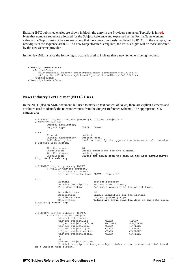Existing IPTC published entries are shown in black; the entry in the Providers extension TopicSet is in **red**. Note that numbers sequence allocated for the Subject Reference and expressed as the FormalName element value of the Topic must not be a repeat of any that have been previously published by IPTC. In the example, the new digits in the sequence are 005. If a new SubjectMatter is required, the last six digits will be those allocated by the new Scheme provider.

In the NewsML instance the following structure is used to indicate that a new Scheme is being invoked:

```
<DescriptiveMetadata> 
    <SubjectCode> 
       <SubjectDetail Scheme="IptcSubjectCodes" FormalName="15073001"/> 
       <SubjectDetail Scheme="MySchemeSubjects" FormalName="04015005"/> 
    </SubjectCode> 
</DescriptiveMetadata> 
. . .
```
## **News Industry Text Format (NITF) Users**

**. . .** 

In the NITF (also an XML document, but used to mark up text content of News) there are explicit elements and attributes used to identify the relevant extracts from the Subject Reference Scheme. The appropriate DTD extracts are:

```
<!ELEMENT tobject (tobject.property*, tobject.subject*)> 
<!ATTLIST tobject 
         %global-attributes; 
         tobject.type CDATA "news" 
\rightarrow2 + -Element tobject<br>Partial description Subject code.
        Partial description<br>Full description
                                 Used to identify the type of the news material, based on
a Subject Code system. 
        Attribute name id<br>Description Un
                                  Unique identifier for the element.<br>tobject.type
        Attribute name<br>Description
                                  Values are drawn from the data in the iptc-newsitemtype
[TopicSet] vocabulary.
          --> 
<!ELEMENT tobject.property EMPTY> 
         <!ATTLIST tobject.property 
                 %global-attributes; 
                  tobject.property.type CDATA "current" 
\rightarrow< ! - 1 Element tobject.property 
 Partial description Subject code property. 
                 Full description Assigns a property to the object type.
                  Attribute name id 
                 Description Unique identifier for the element.<br>Attribute name tobject.property.type
                 Attribute name<br>
\begin{array}{ccc}\n\text{Laplace. property. type} \\
\text{Description} \\
\end{array}Values are drawn from the data in the iptc-genre
[TopicSet] vocabulary. 
--> 
<!ELEMENT tobject.subject EMPTY> 
         <!ATTLIST tobject.subject 
                  %global-attributes; 
                  tobject.subject.ipr CDATA "IPTC" 
                 tobject.subject.refnum NMTOKEN #REQUIREI<br>tobject.subject.code CDATA #IMPLIED
                 tobject.subject.code  CDATA  #IMPLIED<br>tobject.subject.type  CDATA  #IMPLIED
 tobject.subject.type CDATA #IMPLIED 
 tobject.subject.matter CDATA #IMPLIED 
                  tobject.subject.detail CDATA #IMPLIED 
\rightarrow<\; !-- Element tobject.subject 
                  Partial description:Assigns subject information to news material based 
on a Subject Code system.
```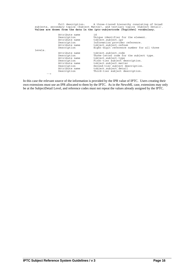| Full description: A three-tiered hierarchy consisting of broad<br>subjects, secondary topics (Subject Matter), and tertiary topics (Subject Detail).<br>Values are drawn from the data in the iptc-subjectcode [TopicSet] vocabulary. |                |                                            |  |  |  |  |  |
|---------------------------------------------------------------------------------------------------------------------------------------------------------------------------------------------------------------------------------------|----------------|--------------------------------------------|--|--|--|--|--|
|                                                                                                                                                                                                                                       |                |                                            |  |  |  |  |  |
|                                                                                                                                                                                                                                       | Attribute name | id                                         |  |  |  |  |  |
|                                                                                                                                                                                                                                       | Description    | Unique identifier for the element.         |  |  |  |  |  |
|                                                                                                                                                                                                                                       | Attribute name | tobject.subject.ipr                        |  |  |  |  |  |
|                                                                                                                                                                                                                                       | Description    | Information provider reference.            |  |  |  |  |  |
|                                                                                                                                                                                                                                       | Attribute name | tobject.subject.refnum                     |  |  |  |  |  |
|                                                                                                                                                                                                                                       | Description    | Eight-digit reference number for all three |  |  |  |  |  |
| levels.                                                                                                                                                                                                                               |                |                                            |  |  |  |  |  |
|                                                                                                                                                                                                                                       | Attribute name | tobject.subject.code                       |  |  |  |  |  |
|                                                                                                                                                                                                                                       | Description    | Three-letter code for the subject type.    |  |  |  |  |  |
|                                                                                                                                                                                                                                       | Attribute name | tobject.subject.type                       |  |  |  |  |  |
|                                                                                                                                                                                                                                       | Description    | First-tier subject description.            |  |  |  |  |  |
|                                                                                                                                                                                                                                       | Attribute name | tobject.subject.matter                     |  |  |  |  |  |
|                                                                                                                                                                                                                                       | Description    | Second-tier subject description.           |  |  |  |  |  |
|                                                                                                                                                                                                                                       | Attribute name | tobject.subject.detail                     |  |  |  |  |  |
|                                                                                                                                                                                                                                       | Description    | Third-tier subject description.            |  |  |  |  |  |
| $--$                                                                                                                                                                                                                                  |                |                                            |  |  |  |  |  |

In this case the relevant source of the information is provided by the IPR value of IPTC. Users creating their own extensions must use an IPR allocated to them by the IPTC. As in the NewsML case, extensions may only be at the SubjectDetail Level, and reference codes must not repeat the values already assigned by the IPTC.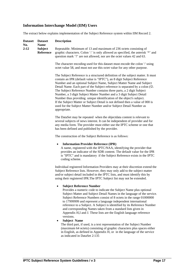## **Information Interchange Model (IIM) Users**

The extract below explains implementation of the Subject Reference system within IIM Record 2.

| <b>Dataset</b><br>No. | <b>Dataset</b><br><b>Name</b> | <b>Description</b>                                                                                                                                                                                                                                                                                                                                                                                                                                                                                                                                                                                                                                                                                                                                                                                                                               |  |  |  |  |
|-----------------------|-------------------------------|--------------------------------------------------------------------------------------------------------------------------------------------------------------------------------------------------------------------------------------------------------------------------------------------------------------------------------------------------------------------------------------------------------------------------------------------------------------------------------------------------------------------------------------------------------------------------------------------------------------------------------------------------------------------------------------------------------------------------------------------------------------------------------------------------------------------------------------------------|--|--|--|--|
| 2:12                  | <b>Subject</b><br>Reference   | Repeatable. Minimum of 13 and maximum of 236 octets consisting of<br>graphic characters. Colon ": is only allowed as specified, the asterisk "*" and<br>question mark '?' are not allowed, nor are the octet values 42 and 63.                                                                                                                                                                                                                                                                                                                                                                                                                                                                                                                                                                                                                   |  |  |  |  |
|                       |                               | The character encoding used for this dataset must encode the colon " using<br>octet value 58, and must not use this octet value for any other purpose.                                                                                                                                                                                                                                                                                                                                                                                                                                                                                                                                                                                                                                                                                           |  |  |  |  |
|                       |                               | The Subject Reference is a structured definition of the subject matter. It must<br>contain an IPR (default value is "IPTC"), an 8 digit Subject Reference<br>Number and an optional Subject Name, Subject Matter Name and Subject<br>Detail Name. Each part of the Subject reference is separated by a colon $(\odot)$ .<br>The Subject Reference Number contains three parts, a 2 digit Subject<br>Number, a 3 digit Subject Matter Number and a 3 digit Subject Detail<br>Number thus providing unique identification of the object's subject.<br>If the Subject Matter or Subject Detail is not defined then a value of 000 is<br>used for the Subject Matter Number and/or Subject Detail Number as<br>appropriate.                                                                                                                          |  |  |  |  |
|                       |                               | The DataSet may be repeated when the objectdata content is relevant to<br>several subjects of news interest. It can be independent of provider and for<br>any media form. The provider must either use the IPTC scheme or one that<br>has been defined and published by the provider.                                                                                                                                                                                                                                                                                                                                                                                                                                                                                                                                                            |  |  |  |  |
|                       |                               | The construction of the Subject Reference is as follows:                                                                                                                                                                                                                                                                                                                                                                                                                                                                                                                                                                                                                                                                                                                                                                                         |  |  |  |  |
|                       |                               | <b>Information Provider Reference (IPR)</b><br>٠<br>A name, registered with the IPTC/NAA, identifying the provider that<br>provides an indicator of the SDR content. The default value for the IPR<br>is "IPTC" and is mandatory if the Subject Reference exists in the IPTC<br>coding scheme.                                                                                                                                                                                                                                                                                                                                                                                                                                                                                                                                                   |  |  |  |  |
|                       |                               | Individual registered Information Providers may at their discretion extend the<br>Subject Reference lists. However, they may only add to the subject matter<br>and/or subject detail included in the IPTC lists, and must identify this by<br>using their registered IPR. The IPTC Subject list may not be extended.                                                                                                                                                                                                                                                                                                                                                                                                                                                                                                                             |  |  |  |  |
|                       |                               | <b>Subject Reference Number</b><br>Provides a numeric code to indicate the Subject Name plus optional<br>Subject Matter and Subject Detail Names in the language of the service.<br>Subject Reference Numbers consist of 8 octets in the range 01000000<br>to 17999999 and represent a language independent international<br>reference to a Subject. A Subject is identified by its Reference Number<br>and corresponding Names taken from a standard lists given in<br>Appendix H,I and J. These lists are the English language reference<br>versions.<br><b>Subject Name</b><br>The third part, if used, is a text representation of the Subject Number<br>(maximum 64 octets) consisting of graphic characters plus spaces either<br>in English, as defined in Appendix H, or in the language of the service<br>as indicated in DataSet 2:135 |  |  |  |  |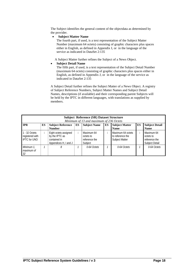The Subject identifies the general content of the objectdata as determined by the provider.

• **Subject Matter Name** 

The fourth part, if used, is a text representation of the Subject Matter Number (maximum 64 octets) consisting of graphic characters plus spaces either in English, as defined in Appendix I, or in the language of the service as indicated in DataSet 2:135

A Subject Matter further refines the Subject of a News Object.

## • **Subject Detail Name**

The fifth part, if used, is a text representation of the Subject Detail Number (maximum 64 octets) consisting of graphic characters plus spaces either in English, as defined in Appendix J, or in the language of the service as indicated in DataSet 2:135

A Subject Detail further refines the Subject Matter of a News Object. A registry of Subject Reference Numbers, Subject Matter Names and Subject Detail Names, descriptions (if available) and their corresponding parent Subjects will be held by the IPTC in different languages, with translations as supplied by members.

| <b>Subject Reference (SR) Dataset Structure</b><br>Minimum of 13 and maximum of 236 Octets |                                                                                                                                                                                        |                                                                                  |   |                                                     |  |                                                         |         |                                                                   |  |
|--------------------------------------------------------------------------------------------|----------------------------------------------------------------------------------------------------------------------------------------------------------------------------------------|----------------------------------------------------------------------------------|---|-----------------------------------------------------|--|---------------------------------------------------------|---------|-------------------------------------------------------------------|--|
| <b>IPR</b>                                                                                 | <b>Subject Matter</b><br><b>Subject Detail</b><br><b>ES</b><br>ES<br><b>ES</b><br>ES<br><b>Subject Name</b><br><b>Subject Reference</b><br><b>Number</b><br><b>Name</b><br><b>Name</b> |                                                                                  |   |                                                     |  |                                                         |         |                                                                   |  |
| $1 - 32$ Octets<br>registered with<br><b>IPTC</b> for UNO                                  | ÷                                                                                                                                                                                      | Eight octets assigned<br>by the IPTC as<br>contained in<br>Appendices H, I and J | ÷ | Maximum 64<br>octets to<br>reference the<br>Subject |  | Maximum 64 octets<br>to reference the<br>Subject Matter | $\cdot$ | Maximum 64<br>octets to<br>reference the<br><b>Subject Detail</b> |  |
| Minimum 1.<br>maximum of<br>32                                                             |                                                                                                                                                                                        | 8                                                                                |   | 0-64 Octets                                         |  | 0-64 Octets                                             |         | 0-64 Octets                                                       |  |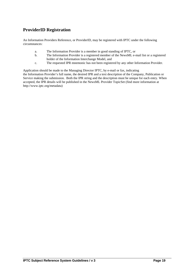# **ProviderID Registration**

An Information Providers Reference, or ProviderID, may be registered with IPTC under the following circumstances:

- a. The Information Provider is a member in good standing of IPTC, or
- b. The Information Provider is a registered member of the NewsML e-mail list or a registered holder of the Information Interchange Model, and
- c. The requested IPR mnemonic has not been registered by any other Information Provider.

Application should be made to the Managing Director IPTC, by e-mail or fax, indicating the Information Provider's full name, the desired IPR and a text description of the Company, Publication or Service making the submission. Both the IPR string and the description must be unique for each entry. When accepted, the IPR details will be published in the NewsML Provider TopicSet (find more information at http://www.iptc.org/metadata)